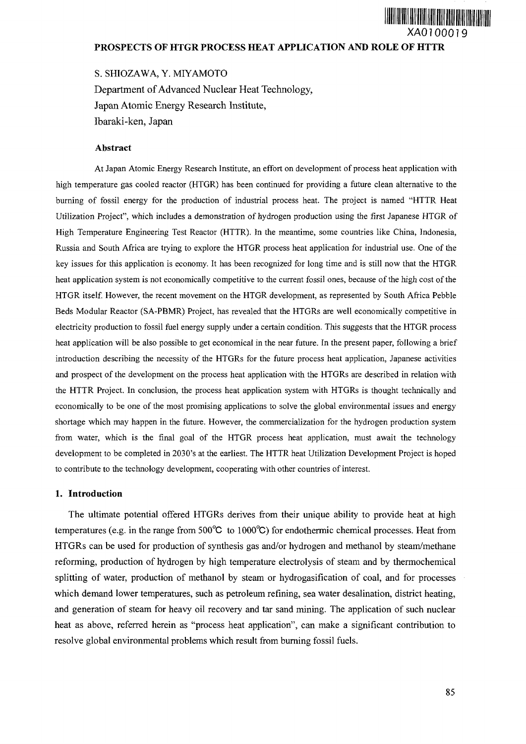# **PROSPECTS OF HTGR PROCESS HEAT APPLICATION AND ROLE OF HTTR**

S. SHIOZAWA, Y. MIYAMOTO Department of Advanced Nuclear Heat Technology, Japan Atomic Energy Research Institute, Ibaraki-ken, Japan

### **Abstract**

At Japan Atomic Energy Research Institute, an effort on development of process heat application with high temperature gas cooled reactor (HTGR) has been continued for providing a future clean alternative to the burning of fossil energy for the production of industrial process heat. The project is named "HTTR Heat Utilization Project", which includes a demonstration of hydrogen production using the first Japanese HTGR of High Temperature Engineering Test Reactor (HTTR). In the meantime, some countries like China, Indonesia, Russia and South Africa are trying to explore the HTGR process heat application for industrial use. One of the key issues for this application is economy. It has been recognized for long time and is still now that the HTGR heat application system is not economically competitive to the current fossil ones, because of the high cost of the HTGR itself. However, the recent movement on the HTGR development, as represented by South Africa Pebble Beds Modular Reactor (SA-PBMR) Project, has revealed that the HTGRs are well economically competitive in electricity production to fossil fuel energy supply under a certain condition. This suggests that the HTGR process heat application will be also possible to get economical in the near future. In the present paper, following a brief introduction describing the necessity of the HTGRs for the future process heat application, Japanese activities and prospect of the development on the process heat application with the HTGRs are described in relation with the HTTR Project. In conclusion, the process heat application system with HTGRs is thought technically and economically to be one of the most promising applications to solve the global environmental issues and energy shortage which may happen in the future. However, the commercialization for the hydrogen production system from water, which is the final goal of the HTGR process heat application, must await the technology development to be completed in 2030's at the earliest. The HTTR heat Utilization Development Project is hoped to contribute to the technology development, cooperating with other countries of interest.

### **1. Introduction**

The ultimate potential offered HTGRs derives from their unique ability to provide heat at high temperatures (e.g. in the range from 500°C to 1000°C) for endothermic chemical processes. Heat from HTGRs can be used for production of synthesis gas and/or hydrogen and methanol by steam/methane reforming, production of hydrogen by high temperature electrolysis of steam and by thermochemical splitting of water, production of methanol by steam or hydrogasification of coal, and for processes which demand lower temperatures, such as petroleum refining, sea water desalination, district heating, and generation of steam for heavy oil recovery and tar sand mining. The application of such nuclear heat as above, referred herein as "process heat application", can make a significant contribution to resolve global environmental problems which result from burning fossil fuels.

XAO7OOO19

**Alia Alia Alia Alia Alia Ali**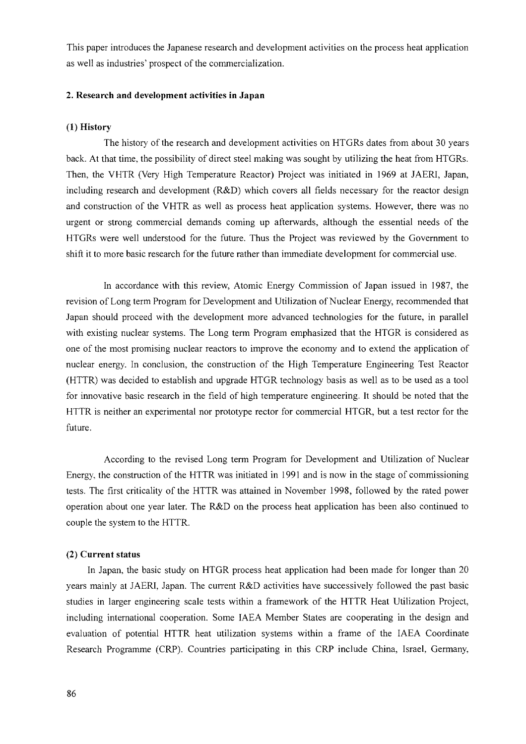This paper introduces the Japanese research and development activities on the process heat application as well as industries' prospect of the commercialization.

## **2. Research and development activities in Japan**

### **(1) History**

The history of the research and development activities on HTGRs dates from about 30 years back. At that time, the possibility of direct steel making was sought by utilizing the heat from HTGRs. Then, the VHTR (Very High Temperature Reactor) Project was initiated in 1969 at JAERI, Japan, including research and development (R&D) which covers all fields necessary for the reactor design and construction of the VHTR as well as process heat application systems. However, there was no urgent or strong commercial demands coming up afterwards, although the essential needs of the HTGRs were well understood for the future. Thus the Project was reviewed by the Government to shift it to more basic research for the future rather than immediate development for commercial use.

In accordance with this review, Atomic Energy Commission of Japan issued in 1987, the revision of Long term Program for Development and Utilization of Nuclear Energy, recommended that Japan should proceed with the development more advanced technologies for the future, in parallel with existing nuclear systems. The Long term Program emphasized that the HTGR is considered as one of the most promising nuclear reactors to improve the economy and to extend the application of nuclear energy. In conclusion, the construction of the High Temperature Engineering Test Reactor (HTTR) was decided to establish and upgrade HTGR technology basis as well as to be used as a tool for innovative basic research in the field of high temperature engineering. It should be noted that the HTTR is neither an experimental nor prototype rector for commercial HTGR, but a test rector for the future.

According to the revised Long term Program for Development and Utilization of Nuclear Energy, the construction of the HTTR was initiated in 1991 and is now in the stage of commissioning tests. The first criticality of the HTTR was attained in November 1998, followed by the rated power operation about one year later. The R&D on the process heat application has been also continued to couple the system to the HTTR.

### **(2) Current status**

In Japan, the basic study on HTGR process heat application had been made for longer than 20 years mainly at JAERI, Japan. The current R&D activities have successively followed the past basic studies in larger engineering scale tests within a framework of the HTTR Heat Utilization Project, including international cooperation. Some IAEA Member States are cooperating in the design and evaluation of potential HTTR heat utilization systems within a frame of the IAEA Coordinate Research Programme (CRP). Countries participating in this CRP include China, Israel, Germany,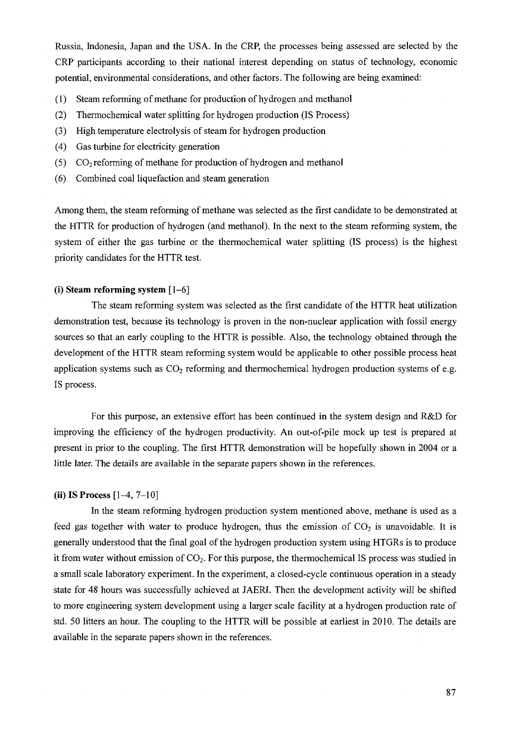Russia, Indonesia, Japan and the USA. In the CRP, the processes being assessed are selected by the CRP participants according to their national interest depending on status of technology, economic potential, environmental considerations, and other factors. The following are being examined:

- (1) Steam reforming of methane for production of hydrogen and methanol
- (2) Thermochemical water splitting for hydrogen production (IS Process)
- (3) High temperature electrolysis of steam for hydrogen production
- (4) Gas turbine for electricity generation
- (5)  $CO<sub>2</sub>$  reforming of methane for production of hydrogen and methanol
- (6) Combined coal liquefaction and steam generation

Among them, the steam reforming of methane was selected as the first candidate to be demonstrated at the HTTR for production of hydrogen (and methanol). In the next to the steam reforming system, the system of either the gas turbine or the thermochemical water splitting (IS process) is the highest priority candidates for the HTTR test.

## **(i) Steam reforming system** [1-6]

The steam reforming system was selected as the first candidate of the HTTR heat utilization demonstration test, because its technology is proven in the non-nuclear application with fossil energy sources so that an early coupling to the HTTR is possible. Also, the technology obtained through the development of the HTTR steam reforming system would be applicable to other possible process heat application systems such as  $CO<sub>2</sub>$  reforming and thermochemical hydrogen production systems of e.g. IS process.

For this purpose, an extensive effort has been continued in the system design and R&D for improving the efficiency of the hydrogen productivity. An out-of-pile mock up test is prepared at present in prior to the coupling. The first HTTR demonstration will be hopefully shown in 2004 or a little later. The details are available in the separate papers shown in the references.

### **(ii) IS Process** [1-4, 7-10]

In the steam reforming hydrogen production system mentioned above, methane is used as a feed gas together with water to produce hydrogen, thus the emission of  $CO<sub>2</sub>$  is unavoidable. It is generally understood that the final goal of the hydrogen production system using HTGRs is to produce it from water without emission of  $CO<sub>2</sub>$ . For this purpose, the thermochemical IS process was studied in a small scale laboratory experiment. In the experiment, a closed-cycle continuous operation in a steady state for 48 hours was successfully achieved at JAERI. Then the development activity will be shifted to more engineering system development using a larger scale facility at a hydrogen production rate of std. 50 litters an hour. The coupling to the HTTR will be possible at earliest in 2010. The details are available in the separate papers shown in the references.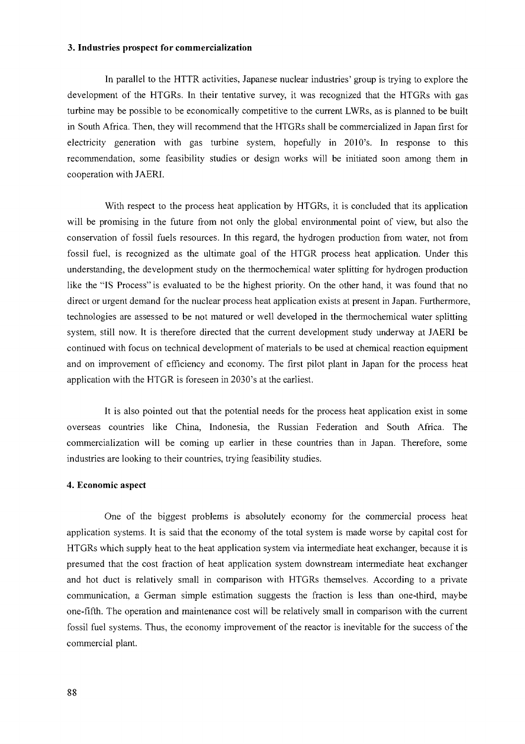#### **3. Industries prospect for commercialization**

In parallel to the HTTR activities, Japanese nuclear industries' group is trying to explore the development of the HTGRs. In their tentative survey, it was recognized that the HTGRs with gas turbine may be possible to be economically competitive to the current LWRs, as is planned to be built in South Africa. Then, they will recommend that the HTGRs shall be commercialized in Japan first for electricity generation with gas turbine system, hopefully in 2010's. In response to this recommendation, some feasibility studies or design works will be initiated soon among them in cooperation with JAERI.

With respect to the process heat application by HTGRs, it is concluded that its application will be promising in the future from not only the global environmental point of view, but also the conservation of fossil fuels resources. In this regard, the hydrogen production from water, not from fossil fuel, is recognized as the ultimate goal of the HTGR process heat application. Under this understanding, the development study on the thermochemical water splitting for hydrogen production like the "IS Process" is evaluated to be the highest priority. On the other hand, it was found that no direct or urgent demand for the nuclear process heat application exists at present in Japan. Furthermore, technologies are assessed to be not matured or well developed in the thermochemical water splitting system, still now. It is therefore directed that the current development study underway at JAERI be continued with focus on technical development of materials to be used at chemical reaction equipment and on improvement of efficiency and economy. The first pilot plant in Japan for the process heat application with the HTGR is foreseen in 2030's at the earliest.

It is also pointed out that the potential needs for the process heat application exist in some overseas countries like China, Indonesia, the Russian Federation and South Africa. The commercialization will be coming up earlier in these countries than in Japan. Therefore, some industries are looking to their countries, trying feasibility studies.

### **4. Economic aspect**

One of the biggest problems is absolutely economy for the commercial process heat application systems. It is said that the economy of the total system is made worse by capital cost for HTGRs which supply heat to the heat application system via intermediate heat exchanger, because it is presumed that the cost fraction of heat application system downstream intermediate heat exchanger and hot duct is relatively small in comparison with HTGRs themselves. According to a private communication, a German simple estimation suggests the fraction is less than one-third, maybe one-fifth. The operation and maintenance cost will be relatively small in comparison with the current fossil fuel systems. Thus, the economy improvement of the reactor is inevitable for the success of the commercial plant.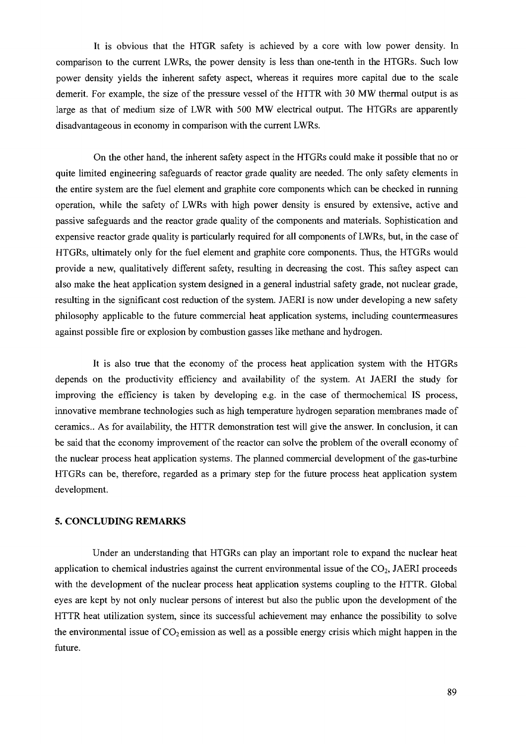It is obvious that the HTGR safety is achieved by a core with low power density. In comparison to the current LWRs, the power density is less than one-tenth in the HTGRs. Such low power density yields the inherent safety aspect, whereas it requires more capital due to the scale demerit. For example, the size of the pressure vessel of the HTTR with 30 MW thermal output is as large as that of medium size of LWR with 500 MW electrical output. The HTGRs are apparently disadvantageous in economy in comparison with the current LWRs.

On the other hand, the inherent safety aspect in the HTGRs could make it possible that no or quite limited engineering safeguards of reactor grade quality are needed. The only safety elements in the entire system are the fuel element and graphite core components which can be checked in running operation, while the safety of LWRs with high power density is ensured by extensive, active and passive safeguards and the reactor grade quality of the components and materials. Sophistication and expensive reactor grade quality is particularly required for all components of LWRs, but, in the case of HTGRs, ultimately only for the fuel element and graphite core components. Thus, the HTGRs would provide a new, qualitatively different safety, resulting in decreasing the cost. This saftey aspect can also make the heat application system designed in a general industrial safety grade, not nuclear grade, resulting in the significant cost reduction of the system. JAERI is now under developing a new safety philosophy applicable to the future commercial heat application systems, including countermeasures against possible fire or explosion by combustion gasses like methane and hydrogen.

It is also true that the economy of the process heat application system with the HTGRs depends on the productivity efficiency and availability of the system. At JAERI the study for improving the efficiency is taken by developing e.g. in the case of thermochemical IS process, innovative membrane technologies such as high temperature hydrogen separation membranes made of ceramics.. As for availability, the HTTR demonstration test will give the answer. In conclusion, it can be said that the economy improvement of the reactor can solve the problem of the overall economy of the nuclear process heat application systems. The planned commercial development of the gas-turbine HTGRs can be, therefore, regarded as a primary step for the future process heat application system development.

### **5. CONCLUDING REMARKS**

Under an understanding that HTGRs can play an important role to expand the nuclear heat application to chemical industries against the current environmental issue of the  $CO<sub>2</sub>$ , JAERI proceeds with the development of the nuclear process heat application systems coupling to the HTTR. Global eyes are kept by not only nuclear persons of interest but also the public upon the development of the HTTR heat utilization system, since its successful achievement may enhance the possibility to solve the environmental issue of  $CO_2$  emission as well as a possible energy crisis which might happen in the future.